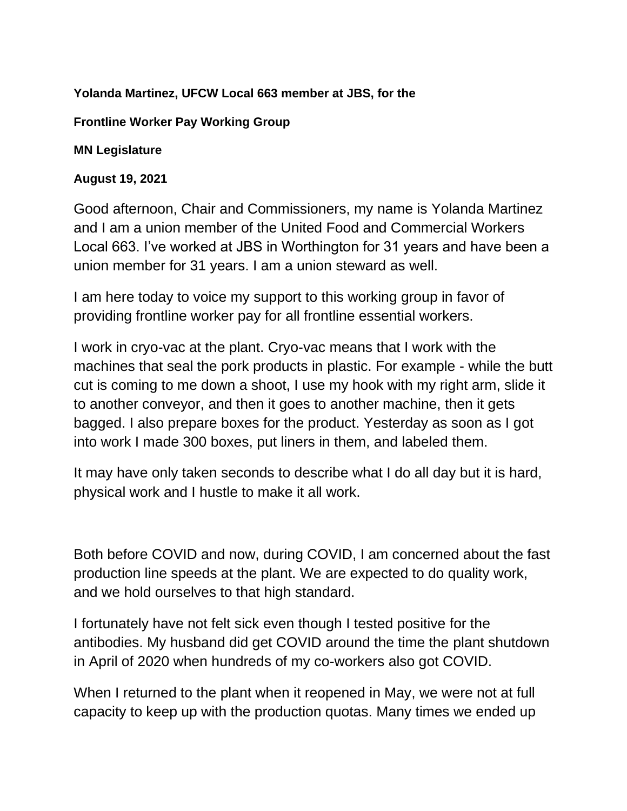## **Yolanda Martinez, UFCW Local 663 member at JBS, for the**

## **Frontline Worker Pay Working Group**

## **MN Legislature**

## **August 19, 2021**

Good afternoon, Chair and Commissioners, my name is Yolanda Martinez and I am a union member of the United Food and Commercial Workers Local 663. I've worked at JBS in Worthington for 31 years and have been a union member for 31 years. I am a union steward as well.

I am here today to voice my support to this working group in favor of providing frontline worker pay for all frontline essential workers.

I work in cryo-vac at the plant. Cryo-vac means that I work with the machines that seal the pork products in plastic. For example - while the butt cut is coming to me down a shoot, I use my hook with my right arm, slide it to another conveyor, and then it goes to another machine, then it gets bagged. I also prepare boxes for the product. Yesterday as soon as I got into work I made 300 boxes, put liners in them, and labeled them.

It may have only taken seconds to describe what I do all day but it is hard, physical work and I hustle to make it all work.

Both before COVID and now, during COVID, I am concerned about the fast production line speeds at the plant. We are expected to do quality work, and we hold ourselves to that high standard.

I fortunately have not felt sick even though I tested positive for the antibodies. My husband did get COVID around the time the plant shutdown in April of 2020 when hundreds of my co-workers also got COVID.

When I returned to the plant when it reopened in May, we were not at full capacity to keep up with the production quotas. Many times we ended up